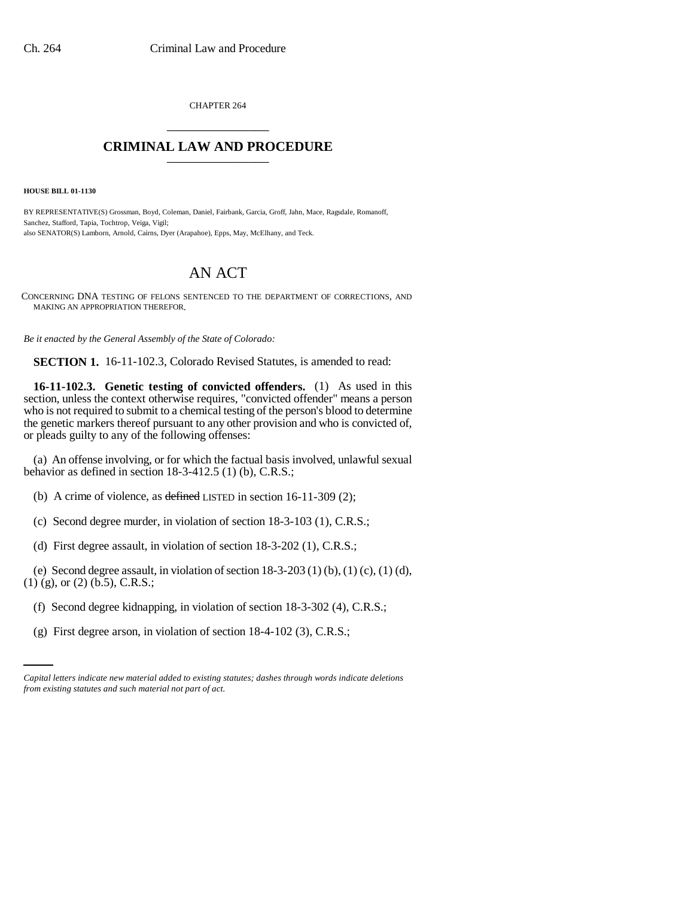CHAPTER 264 \_\_\_\_\_\_\_\_\_\_\_\_\_\_\_

## **CRIMINAL LAW AND PROCEDURE** \_\_\_\_\_\_\_\_\_\_\_\_\_\_\_

**HOUSE BILL 01-1130**

BY REPRESENTATIVE(S) Grossman, Boyd, Coleman, Daniel, Fairbank, Garcia, Groff, Jahn, Mace, Ragsdale, Romanoff, Sanchez, Stafford, Tapia, Tochtrop, Veiga, Vigil; also SENATOR(S) Lamborn, Arnold, Cairns, Dyer (Arapahoe), Epps, May, McElhany, and Teck.

## AN ACT

CONCERNING DNA TESTING OF FELONS SENTENCED TO THE DEPARTMENT OF CORRECTIONS, AND MAKING AN APPROPRIATION THEREFOR.

*Be it enacted by the General Assembly of the State of Colorado:*

**SECTION 1.** 16-11-102.3, Colorado Revised Statutes, is amended to read:

**16-11-102.3. Genetic testing of convicted offenders.** (1) As used in this section, unless the context otherwise requires, "convicted offender" means a person who is not required to submit to a chemical testing of the person's blood to determine the genetic markers thereof pursuant to any other provision and who is convicted of, or pleads guilty to any of the following offenses:

(a) An offense involving, or for which the factual basis involved, unlawful sexual behavior as defined in section 18-3-412.5 (1) (b), C.R.S.;

(b) A crime of violence, as defined LISTED in section 16-11-309 (2);

- (c) Second degree murder, in violation of section 18-3-103 (1), C.R.S.;
- (d) First degree assault, in violation of section 18-3-202 (1), C.R.S.;

(e) Second degree assault, in violation of section  $18-3-203(1)$  (b),  $(1)$  (c),  $(1)$  (d), (1) (g), or (2) (b.5), C.R.S.;

- (f) Second degree kidnapping, in violation of section 18-3-302 (4), C.R.S.;
	- (g) First degree arson, in violation of section 18-4-102 (3), C.R.S.;

*Capital letters indicate new material added to existing statutes; dashes through words indicate deletions from existing statutes and such material not part of act.*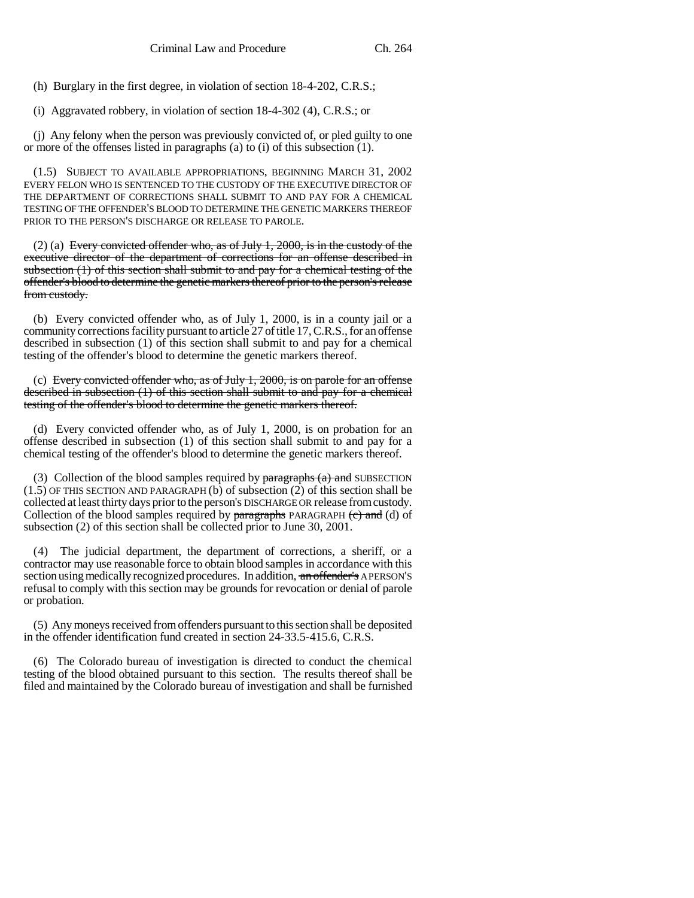(h) Burglary in the first degree, in violation of section 18-4-202, C.R.S.;

(i) Aggravated robbery, in violation of section 18-4-302 (4), C.R.S.; or

(j) Any felony when the person was previously convicted of, or pled guilty to one or more of the offenses listed in paragraphs (a) to (i) of this subsection (1).

(1.5) SUBJECT TO AVAILABLE APPROPRIATIONS, BEGINNING MARCH 31, 2002 EVERY FELON WHO IS SENTENCED TO THE CUSTODY OF THE EXECUTIVE DIRECTOR OF THE DEPARTMENT OF CORRECTIONS SHALL SUBMIT TO AND PAY FOR A CHEMICAL TESTING OF THE OFFENDER'S BLOOD TO DETERMINE THE GENETIC MARKERS THEREOF PRIOR TO THE PERSON'S DISCHARGE OR RELEASE TO PAROLE.

(2) (a) Every convicted offender who, as of July 1, 2000, is in the custody of the executive director of the department of corrections for an offense described in subsection (1) of this section shall submit to and pay for a chemical testing of the offender's blood to determine the genetic markers thereof prior to the person's release from custody.

(b) Every convicted offender who, as of July 1, 2000, is in a county jail or a community corrections facility pursuant to article 27 of title 17, C.R.S., for an offense described in subsection (1) of this section shall submit to and pay for a chemical testing of the offender's blood to determine the genetic markers thereof.

(c) Every convicted offender who, as of July 1, 2000, is on parole for an offense described in subsection (1) of this section shall submit to and pay for a chemical testing of the offender's blood to determine the genetic markers thereof.

(d) Every convicted offender who, as of July 1, 2000, is on probation for an offense described in subsection (1) of this section shall submit to and pay for a chemical testing of the offender's blood to determine the genetic markers thereof.

(3) Collection of the blood samples required by  $\frac{1}{2}$  and  $\frac{1}{2}$  and SUBSECTION (1.5) OF THIS SECTION AND PARAGRAPH (b) of subsection (2) of this section shall be collected at least thirty days prior to the person's DISCHARGE OR release from custody. Collection of the blood samples required by  $\frac{1}{2}$  paragraphs PARAGRAPH (c) and (d) of subsection (2) of this section shall be collected prior to June 30, 2001.

(4) The judicial department, the department of corrections, a sheriff, or a contractor may use reasonable force to obtain blood samples in accordance with this section using medically recognized procedures. In addition, an offender's APERSON'S refusal to comply with this section may be grounds for revocation or denial of parole or probation.

(5) Any moneys received from offenders pursuant to this section shall be deposited in the offender identification fund created in section 24-33.5-415.6, C.R.S.

(6) The Colorado bureau of investigation is directed to conduct the chemical testing of the blood obtained pursuant to this section. The results thereof shall be filed and maintained by the Colorado bureau of investigation and shall be furnished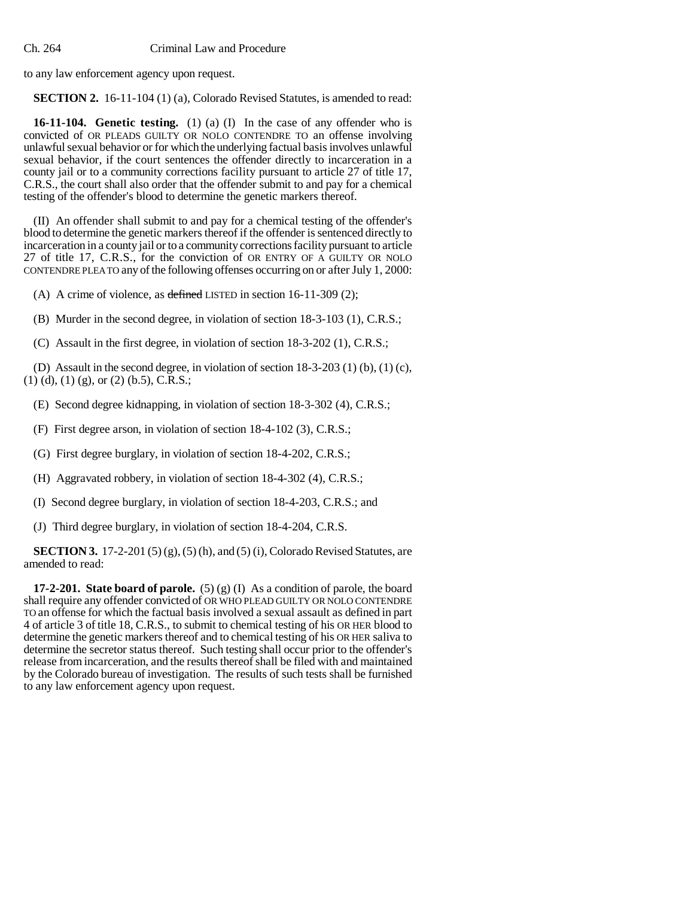to any law enforcement agency upon request.

**SECTION 2.** 16-11-104 (1) (a), Colorado Revised Statutes, is amended to read:

**16-11-104. Genetic testing.** (1) (a) (I) In the case of any offender who is convicted of OR PLEADS GUILTY OR NOLO CONTENDRE TO an offense involving unlawful sexual behavior or for which the underlying factual basis involves unlawful sexual behavior, if the court sentences the offender directly to incarceration in a county jail or to a community corrections facility pursuant to article 27 of title 17, C.R.S., the court shall also order that the offender submit to and pay for a chemical testing of the offender's blood to determine the genetic markers thereof.

(II) An offender shall submit to and pay for a chemical testing of the offender's blood to determine the genetic markers thereof if the offender is sentenced directly to incarceration in a county jail or to a community corrections facility pursuant to article 27 of title 17, C.R.S., for the conviction of OR ENTRY OF A GUILTY OR NOLO CONTENDRE PLEA TO any of the following offenses occurring on or after July 1, 2000:

(A) A crime of violence, as defined LISTED in section 16-11-309 (2);

(B) Murder in the second degree, in violation of section 18-3-103 (1), C.R.S.;

(C) Assault in the first degree, in violation of section 18-3-202 (1), C.R.S.;

(D) Assault in the second degree, in violation of section 18-3-203 (1) (b), (1) (c), (1) (d), (1) (g), or (2) (b.5), C.R.S.;

- (E) Second degree kidnapping, in violation of section 18-3-302 (4), C.R.S.;
- (F) First degree arson, in violation of section 18-4-102 (3), C.R.S.;
- (G) First degree burglary, in violation of section 18-4-202, C.R.S.;
- (H) Aggravated robbery, in violation of section 18-4-302 (4), C.R.S.;
- (I) Second degree burglary, in violation of section 18-4-203, C.R.S.; and
- (J) Third degree burglary, in violation of section 18-4-204, C.R.S.

**SECTION 3.** 17-2-201 (5) (g), (5) (h), and (5) (i), Colorado Revised Statutes, are amended to read:

**17-2-201.** State board of parole.  $(5)(g)(I)$  As a condition of parole, the board shall require any offender convicted of OR WHO PLEAD GUILTY OR NOLO CONTENDRE TO an offense for which the factual basis involved a sexual assault as defined in part 4 of article 3 of title 18, C.R.S., to submit to chemical testing of his OR HER blood to determine the genetic markers thereof and to chemical testing of his OR HER saliva to determine the secretor status thereof. Such testing shall occur prior to the offender's release from incarceration, and the results thereof shall be filed with and maintained by the Colorado bureau of investigation. The results of such tests shall be furnished to any law enforcement agency upon request.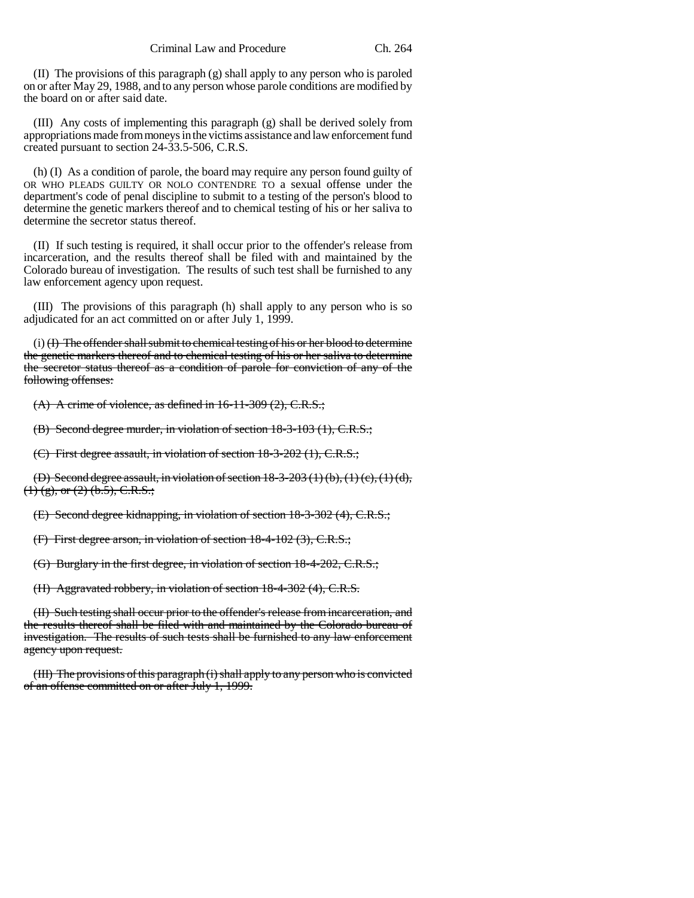(II) The provisions of this paragraph (g) shall apply to any person who is paroled on or after May 29, 1988, and to any person whose parole conditions are modified by the board on or after said date.

(III) Any costs of implementing this paragraph (g) shall be derived solely from appropriations made from moneys in the victims assistance and law enforcement fund created pursuant to section 24-33.5-506, C.R.S.

(h) (I) As a condition of parole, the board may require any person found guilty of OR WHO PLEADS GUILTY OR NOLO CONTENDRE TO a sexual offense under the department's code of penal discipline to submit to a testing of the person's blood to determine the genetic markers thereof and to chemical testing of his or her saliva to determine the secretor status thereof.

(II) If such testing is required, it shall occur prior to the offender's release from incarceration, and the results thereof shall be filed with and maintained by the Colorado bureau of investigation. The results of such test shall be furnished to any law enforcement agency upon request.

(III) The provisions of this paragraph (h) shall apply to any person who is so adjudicated for an act committed on or after July 1, 1999.

(i) (I) The offender shall submit to chemical testing of his or her blood to determine the genetic markers thereof and to chemical testing of his or her saliva to determine the secretor status thereof as a condition of parole for conviction of any of the following offenses:

 $(A)$  A crime of violence, as defined in  $16-11-309(2)$ , C.R.S.;

(B) Second degree murder, in violation of section 18-3-103 (1), C.R.S.;

(C) First degree assault, in violation of section 18-3-202 (1), C.R.S.;

(D) Second degree assault, in violation of section  $18-3-203(1)(b)$ ,  $(1)(c)$ ,  $(1)(d)$ ,  $(1)$  (g), or (2) (b.5), C.R.S.;

(E) Second degree kidnapping, in violation of section 18-3-302 (4), C.R.S.;

(F) First degree arson, in violation of section 18-4-102 (3), C.R.S.;

(G) Burglary in the first degree, in violation of section 18-4-202, C.R.S.;

(H) Aggravated robbery, in violation of section 18-4-302 (4), C.R.S.

(II) Such testing shall occur prior to the offender's release from incarceration, and the results thereof shall be filed with and maintained by the Colorado bureau of investigation. The results of such tests shall be furnished to any law enforcement agency upon request.

(III) The provisions of this paragraph (i) shall apply to any person who is convicted of an offense committed on or after July 1, 1999.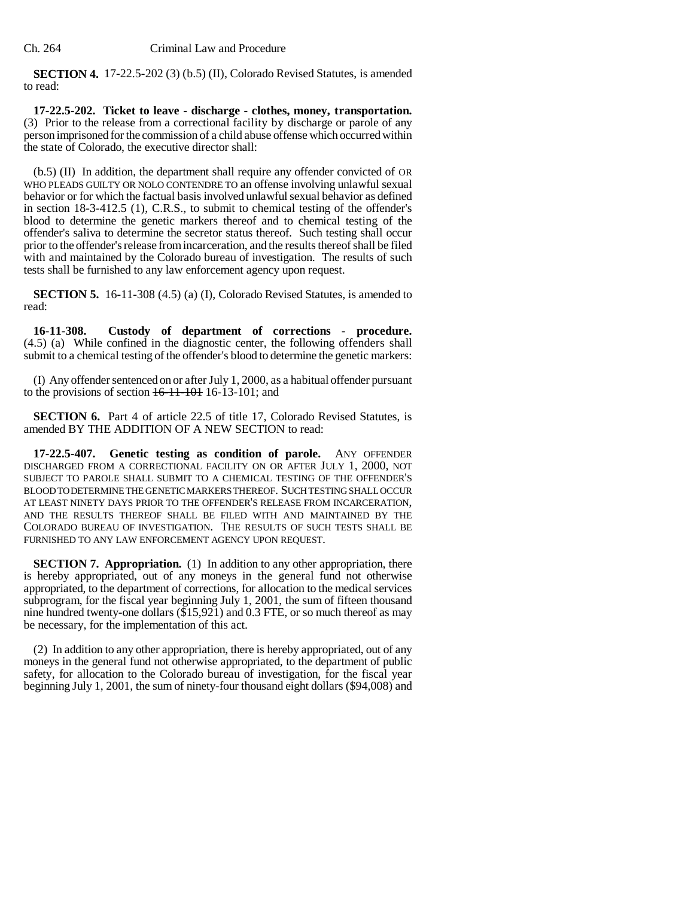**SECTION 4.** 17-22.5-202 (3) (b.5) (II), Colorado Revised Statutes, is amended to read:

**17-22.5-202. Ticket to leave - discharge - clothes, money, transportation.** (3) Prior to the release from a correctional facility by discharge or parole of any person imprisoned for the commission of a child abuse offense which occurred within the state of Colorado, the executive director shall:

(b.5) (II) In addition, the department shall require any offender convicted of OR WHO PLEADS GUILTY OR NOLO CONTENDRE TO an offense involving unlawful sexual behavior or for which the factual basis involved unlawful sexual behavior as defined in section 18-3-412.5 (1), C.R.S., to submit to chemical testing of the offender's blood to determine the genetic markers thereof and to chemical testing of the offender's saliva to determine the secretor status thereof. Such testing shall occur prior to the offender's release from incarceration, and the results thereof shall be filed with and maintained by the Colorado bureau of investigation. The results of such tests shall be furnished to any law enforcement agency upon request.

**SECTION 5.** 16-11-308 (4.5) (a) (I), Colorado Revised Statutes, is amended to read:

**16-11-308. Custody of department of corrections - procedure.** (4.5) (a) While confined in the diagnostic center, the following offenders shall submit to a chemical testing of the offender's blood to determine the genetic markers:

(I) Any offender sentenced on or after July 1, 2000, as a habitual offender pursuant to the provisions of section  $16-11-101$  16-13-101; and

**SECTION 6.** Part 4 of article 22.5 of title 17, Colorado Revised Statutes, is amended BY THE ADDITION OF A NEW SECTION to read:

**17-22.5-407. Genetic testing as condition of parole.** ANY OFFENDER DISCHARGED FROM A CORRECTIONAL FACILITY ON OR AFTER JULY 1, 2000, NOT SUBJECT TO PAROLE SHALL SUBMIT TO A CHEMICAL TESTING OF THE OFFENDER'S BLOOD TO DETERMINE THE GENETIC MARKERS THEREOF. SUCH TESTING SHALL OCCUR AT LEAST NINETY DAYS PRIOR TO THE OFFENDER'S RELEASE FROM INCARCERATION, AND THE RESULTS THEREOF SHALL BE FILED WITH AND MAINTAINED BY THE COLORADO BUREAU OF INVESTIGATION. THE RESULTS OF SUCH TESTS SHALL BE FURNISHED TO ANY LAW ENFORCEMENT AGENCY UPON REQUEST.

**SECTION 7. Appropriation.** (1) In addition to any other appropriation, there is hereby appropriated, out of any moneys in the general fund not otherwise appropriated, to the department of corrections, for allocation to the medical services subprogram, for the fiscal year beginning July 1, 2001, the sum of fifteen thousand nine hundred twenty-one dollars  $(\$15,921)$  and 0.3 FTE, or so much thereof as may be necessary, for the implementation of this act.

(2) In addition to any other appropriation, there is hereby appropriated, out of any moneys in the general fund not otherwise appropriated, to the department of public safety, for allocation to the Colorado bureau of investigation, for the fiscal year beginning July 1, 2001, the sum of ninety-four thousand eight dollars (\$94,008) and